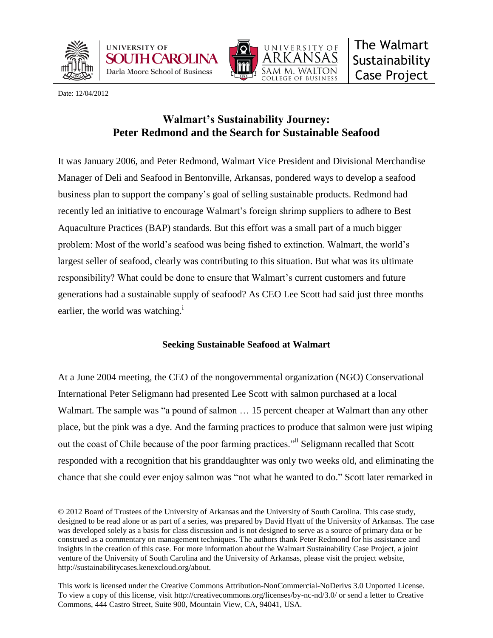





Date: 12/04/2012

# **Walmart's Sustainability Journey: Peter Redmond and the Search for Sustainable Seafood**

It was January 2006, and Peter Redmond, Walmart Vice President and Divisional Merchandise Manager of Deli and Seafood in Bentonville, Arkansas, pondered ways to develop a seafood business plan to support the company's goal of selling sustainable products. Redmond had recently led an initiative to encourage Walmart's foreign shrimp suppliers to adhere to Best Aquaculture Practices (BAP) standards. But this effort was a small part of a much bigger problem: Most of the world's seafood was being fished to extinction. Walmart, the world's largest seller of seafood, clearly was contributing to this situation. But what was its ultimate responsibility? What could be done to ensure that Walmart's current customers and future generations had a sustainable supply of seafood? As CEO Lee Scott had said just three months earlier, the world was watching.<sup>i</sup>

# **Seeking Sustainable Seafood at Walmart**

At a June 2004 meeting, the CEO of the nongovernmental organization (NGO) Conservational International Peter Seligmann had presented Lee Scott with salmon purchased at a local Walmart. The sample was "a pound of salmon … 15 percent cheaper at Walmart than any other place, but the pink was a dye. And the farming practices to produce that salmon were just wiping out the coast of Chile because of the poor farming practices."ii Seligmann recalled that Scott responded with a recognition that his granddaughter was only two weeks old, and eliminating the chance that she could ever enjoy salmon was "not what he wanted to do." Scott later remarked in

<sup>© 2012</sup> Board of Trustees of the University of Arkansas and the University of South Carolina. This case study, designed to be read alone or as part of a series, was prepared by David Hyatt of the University of Arkansas. The case was developed solely as a basis for class discussion and is not designed to serve as a source of primary data or be construed as a commentary on management techniques. The authors thank Peter Redmond for his assistance and insights in the creation of this case. For more information about the Walmart Sustainability Case Project, a joint venture of the University of South Carolina and the University of Arkansas, please visit the project website, http://sustainabilitycases.kenexcloud.org/about.

This work is licensed under the Creative Commons Attribution-NonCommercial-NoDerivs 3.0 Unported License. To view a copy of this license, visit http://creativecommons.org/licenses/by-nc-nd/3.0/ or send a letter to Creative Commons, 444 Castro Street, Suite 900, Mountain View, CA, 94041, USA.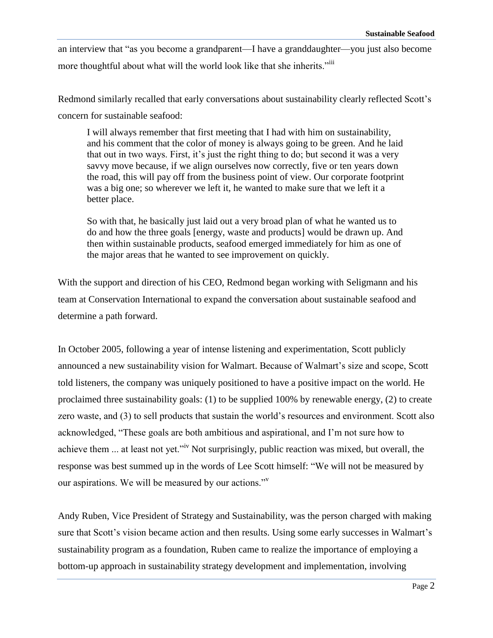an interview that "as you become a grandparent—I have a granddaughter—you just also become more thoughtful about what will the world look like that she inherits."<sup>iii</sup>

Redmond similarly recalled that early conversations about sustainability clearly reflected Scott's concern for sustainable seafood:

I will always remember that first meeting that I had with him on sustainability, and his comment that the color of money is always going to be green. And he laid that out in two ways. First, it's just the right thing to do; but second it was a very savvy move because, if we align ourselves now correctly, five or ten years down the road, this will pay off from the business point of view. Our corporate footprint was a big one; so wherever we left it, he wanted to make sure that we left it a better place.

So with that, he basically just laid out a very broad plan of what he wanted us to do and how the three goals [energy, waste and products] would be drawn up. And then within sustainable products, seafood emerged immediately for him as one of the major areas that he wanted to see improvement on quickly.

With the support and direction of his CEO, Redmond began working with Seligmann and his team at Conservation International to expand the conversation about sustainable seafood and determine a path forward.

In October 2005, following a year of intense listening and experimentation, Scott publicly announced a new sustainability vision for Walmart. Because of Walmart's size and scope, Scott told listeners, the company was uniquely positioned to have a positive impact on the world. He proclaimed three sustainability goals: (1) to be supplied 100% by renewable energy, (2) to create zero waste, and (3) to sell products that sustain the world's resources and environment. Scott also acknowledged, "These goals are both ambitious and aspirational, and I'm not sure how to achieve them ... at least not yet."iv Not surprisingly, public reaction was mixed, but overall, the response was best summed up in the words of Lee Scott himself: "We will not be measured by our aspirations. We will be measured by our actions."<sup>v</sup>

Andy Ruben, Vice President of Strategy and Sustainability, was the person charged with making sure that Scott's vision became action and then results. Using some early successes in Walmart's sustainability program as a foundation, Ruben came to realize the importance of employing a bottom-up approach in sustainability strategy development and implementation, involving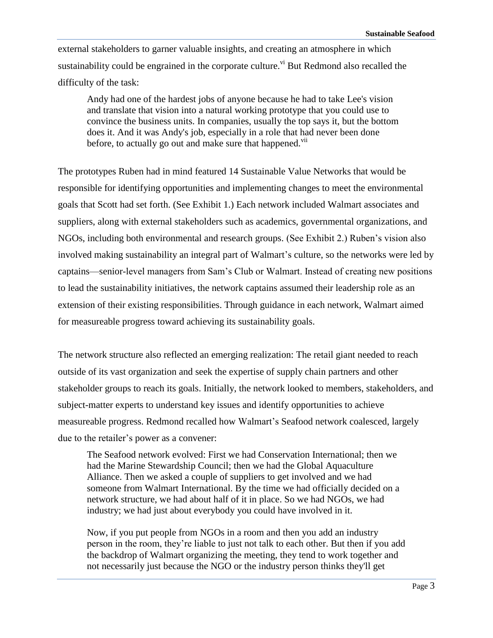external stakeholders to garner valuable insights, and creating an atmosphere in which sustainability could be engrained in the corporate culture.<sup>vi</sup> But Redmond also recalled the difficulty of the task:

Andy had one of the hardest jobs of anyone because he had to take Lee's vision and translate that vision into a natural working prototype that you could use to convince the business units. In companies, usually the top says it, but the bottom does it. And it was Andy's job, especially in a role that had never been done before, to actually go out and make sure that happened.<sup>vii</sup>

The prototypes Ruben had in mind featured 14 Sustainable Value Networks that would be responsible for identifying opportunities and implementing changes to meet the environmental goals that Scott had set forth. (See Exhibit 1.) Each network included Walmart associates and suppliers, along with external stakeholders such as academics, governmental organizations, and NGOs, including both environmental and research groups. (See Exhibit 2.) Ruben's vision also involved making sustainability an integral part of Walmart's culture, so the networks were led by captains—senior-level managers from Sam's Club or Walmart. Instead of creating new positions to lead the sustainability initiatives, the network captains assumed their leadership role as an extension of their existing responsibilities. Through guidance in each network, Walmart aimed for measureable progress toward achieving its sustainability goals.

The network structure also reflected an emerging realization: The retail giant needed to reach outside of its vast organization and seek the expertise of supply chain partners and other stakeholder groups to reach its goals. Initially, the network looked to members, stakeholders, and subject-matter experts to understand key issues and identify opportunities to achieve measureable progress. Redmond recalled how Walmart's Seafood network coalesced, largely due to the retailer's power as a convener:

The Seafood network evolved: First we had Conservation International; then we had the Marine Stewardship Council; then we had the Global Aquaculture Alliance. Then we asked a couple of suppliers to get involved and we had someone from Walmart International. By the time we had officially decided on a network structure, we had about half of it in place. So we had NGOs, we had industry; we had just about everybody you could have involved in it.

Now, if you put people from NGOs in a room and then you add an industry person in the room, they're liable to just not talk to each other. But then if you add the backdrop of Walmart organizing the meeting, they tend to work together and not necessarily just because the NGO or the industry person thinks they'll get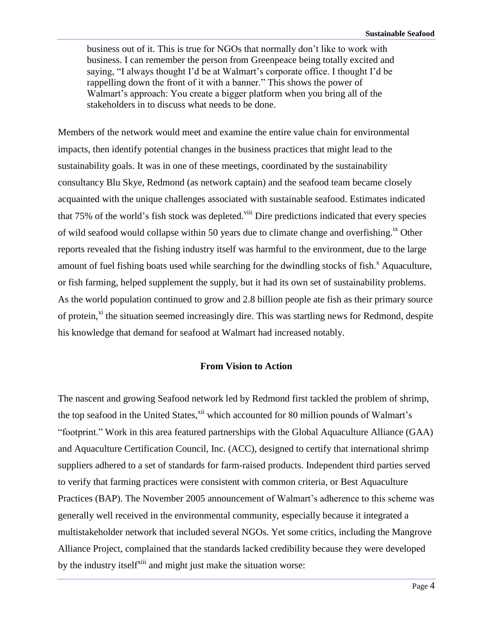business out of it. This is true for NGOs that normally don't like to work with business. I can remember the person from Greenpeace being totally excited and saying, "I always thought I'd be at Walmart's corporate office. I thought I'd be rappelling down the front of it with a banner." This shows the power of Walmart's approach: You create a bigger platform when you bring all of the stakeholders in to discuss what needs to be done.

Members of the network would meet and examine the entire value chain for environmental impacts, then identify potential changes in the business practices that might lead to the sustainability goals. It was in one of these meetings, coordinated by the sustainability consultancy Blu Skye, Redmond (as network captain) and the seafood team became closely acquainted with the unique challenges associated with sustainable seafood. Estimates indicated that 75% of the world's fish stock was depleted.<sup>viii</sup> Dire predictions indicated that every species of wild seafood would collapse within 50 years due to climate change and overfishing.<sup>ix</sup> Other reports revealed that the fishing industry itself was harmful to the environment, due to the large amount of fuel fishing boats used while searching for the dwindling stocks of fish.<sup>x</sup> Aquaculture, or fish farming, helped supplement the supply, but it had its own set of sustainability problems. As the world population continued to grow and 2.8 billion people ate fish as their primary source of protein,<sup>xi</sup> the situation seemed increasingly dire. This was startling news for Redmond, despite his knowledge that demand for seafood at Walmart had increased notably.

#### **From Vision to Action**

The nascent and growing Seafood network led by Redmond first tackled the problem of shrimp, the top seafood in the United States,<sup>xii</sup> which accounted for 80 million pounds of Walmart's "footprint." Work in this area featured partnerships with the Global Aquaculture Alliance (GAA) and Aquaculture Certification Council, Inc. (ACC), designed to certify that international shrimp suppliers adhered to a set of standards for farm-raised products. Independent third parties served to verify that farming practices were consistent with common criteria, or Best Aquaculture Practices (BAP). The November 2005 announcement of Walmart's adherence to this scheme was generally well received in the environmental community, especially because it integrated a multistakeholder network that included several NGOs. Yet some critics, including the Mangrove Alliance Project, complained that the standards lacked credibility because they were developed by the industry itself<sup>xiii</sup> and might just make the situation worse: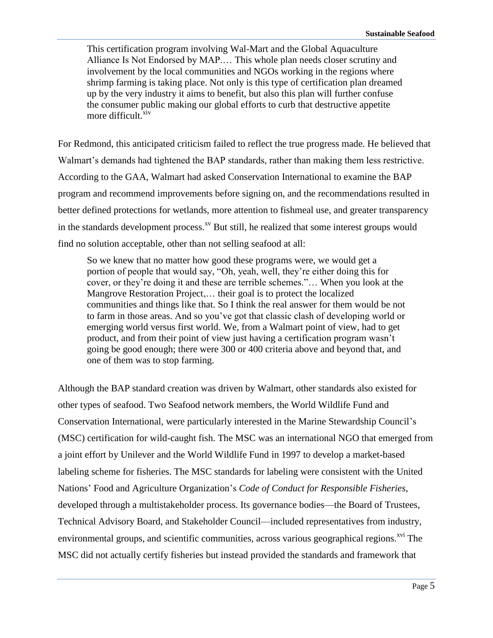This certification program involving Wal-Mart and the Global Aquaculture Alliance Is Not Endorsed by MAP.… This whole plan needs closer scrutiny and involvement by the local communities and NGOs working in the regions where shrimp farming is taking place. Not only is this type of certification plan dreamed up by the very industry it aims to benefit, but also this plan will further confuse the consumer public making our global efforts to curb that destructive appetite more difficult.<sup>xiv</sup>

For Redmond, this anticipated criticism failed to reflect the true progress made. He believed that Walmart's demands had tightened the BAP standards, rather than making them less restrictive. According to the GAA, Walmart had asked Conservation International to examine the BAP program and recommend improvements before signing on, and the recommendations resulted in better defined protections for wetlands, more attention to fishmeal use, and greater transparency in the standards development process. $^{xy}$  But still, he realized that some interest groups would find no solution acceptable, other than not selling seafood at all:

So we knew that no matter how good these programs were, we would get a portion of people that would say, "Oh, yeah, well, they're either doing this for cover, or they're doing it and these are terrible schemes."… When you look at the Mangrove Restoration Project,… their goal is to protect the localized communities and things like that. So I think the real answer for them would be not to farm in those areas. And so you've got that classic clash of developing world or emerging world versus first world. We, from a Walmart point of view, had to get product, and from their point of view just having a certification program wasn't going be good enough; there were 300 or 400 criteria above and beyond that, and one of them was to stop farming.

Although the BAP standard creation was driven by Walmart, other standards also existed for other types of seafood. Two Seafood network members, the World Wildlife Fund and Conservation International, were particularly interested in the Marine Stewardship Council's (MSC) certification for wild-caught fish. The MSC was an international NGO that emerged from a joint effort by Unilever and the World Wildlife Fund in 1997 to develop a market-based labeling scheme for fisheries. The MSC standards for labeling were consistent with the United Nations' Food and Agriculture Organization's *Code of Conduct for Responsible Fisheries*, developed through a multistakeholder process. Its governance bodies—the Board of Trustees, Technical Advisory Board, and Stakeholder Council—included representatives from industry, environmental groups, and scientific communities, across various geographical regions.<sup>xvi</sup> The MSC did not actually certify fisheries but instead provided the standards and framework that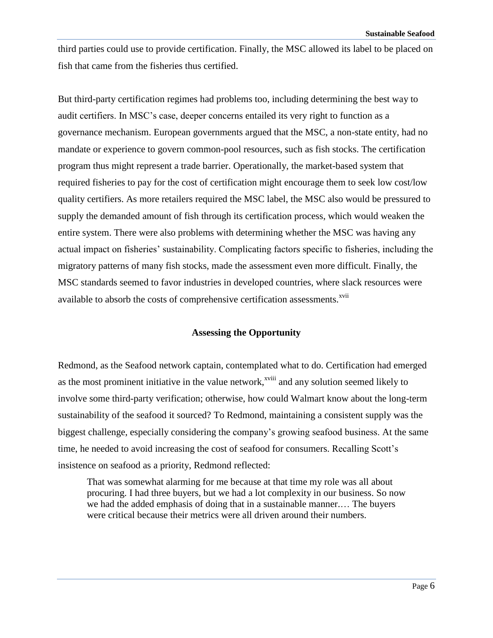third parties could use to provide certification. Finally, the MSC allowed its label to be placed on fish that came from the fisheries thus certified.

But third-party certification regimes had problems too, including determining the best way to audit certifiers. In MSC's case, deeper concerns entailed its very right to function as a governance mechanism. European governments argued that the MSC, a non-state entity, had no mandate or experience to govern common-pool resources, such as fish stocks. The certification program thus might represent a trade barrier. Operationally, the market-based system that required fisheries to pay for the cost of certification might encourage them to seek low cost/low quality certifiers. As more retailers required the MSC label, the MSC also would be pressured to supply the demanded amount of fish through its certification process, which would weaken the entire system. There were also problems with determining whether the MSC was having any actual impact on fisheries' sustainability. Complicating factors specific to fisheries, including the migratory patterns of many fish stocks, made the assessment even more difficult. Finally, the MSC standards seemed to favor industries in developed countries, where slack resources were available to absorb the costs of comprehensive certification assessments.<sup>xvii</sup>

### **Assessing the Opportunity**

Redmond, as the Seafood network captain, contemplated what to do. Certification had emerged as the most prominent initiative in the value network,<sup>xviii</sup> and any solution seemed likely to involve some third-party verification; otherwise, how could Walmart know about the long-term sustainability of the seafood it sourced? To Redmond, maintaining a consistent supply was the biggest challenge, especially considering the company's growing seafood business. At the same time, he needed to avoid increasing the cost of seafood for consumers. Recalling Scott's insistence on seafood as a priority, Redmond reflected:

That was somewhat alarming for me because at that time my role was all about procuring. I had three buyers, but we had a lot complexity in our business. So now we had the added emphasis of doing that in a sustainable manner.… The buyers were critical because their metrics were all driven around their numbers.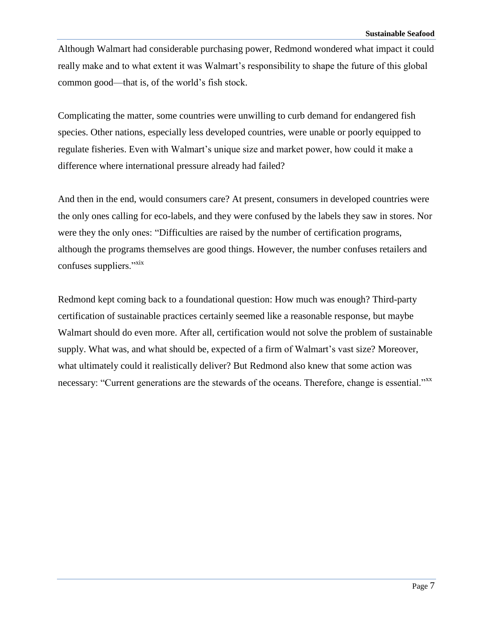Although Walmart had considerable purchasing power, Redmond wondered what impact it could really make and to what extent it was Walmart's responsibility to shape the future of this global common good—that is, of the world's fish stock.

Complicating the matter, some countries were unwilling to curb demand for endangered fish species. Other nations, especially less developed countries, were unable or poorly equipped to regulate fisheries. Even with Walmart's unique size and market power, how could it make a difference where international pressure already had failed?

And then in the end, would consumers care? At present, consumers in developed countries were the only ones calling for eco-labels, and they were confused by the labels they saw in stores. Nor were they the only ones: "Difficulties are raised by the number of certification programs, although the programs themselves are good things. However, the number confuses retailers and confuses suppliers."<sup>xix</sup>

Redmond kept coming back to a foundational question: How much was enough? Third-party certification of sustainable practices certainly seemed like a reasonable response, but maybe Walmart should do even more. After all, certification would not solve the problem of sustainable supply. What was, and what should be, expected of a firm of Walmart's vast size? Moreover, what ultimately could it realistically deliver? But Redmond also knew that some action was necessary: "Current generations are the stewards of the oceans. Therefore, change is essential."<sup>xx</sup>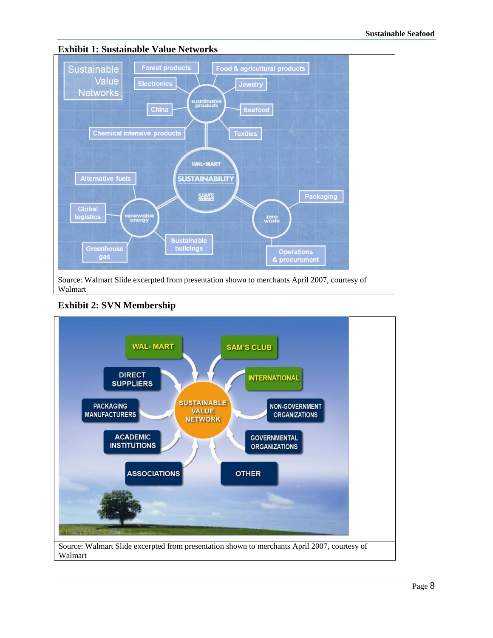

## **Exhibit 1: Sustainable Value Networks**